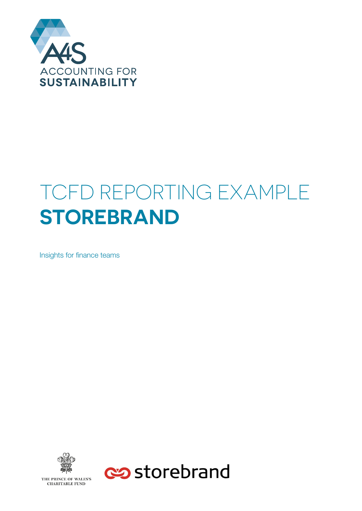

# **SUSTAINABLE**  TCFD REPORTING EXAMPLE **SIUREBRAND STOREBRAND**

**PENDING THE INSIGNAL STATE OF STATE STATE SET STATES** 



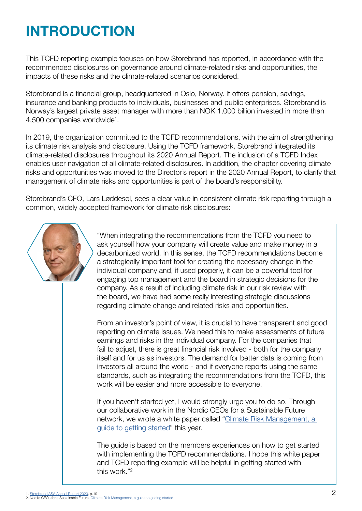## **INTRODUCTION**

This TCFD reporting example focuses on how Storebrand has reported, in accordance with the recommended disclosures on governance around climate-related risks and opportunities, the impacts of these risks and the climate-related scenarios considered.

Storebrand is a financial group, headquartered in Oslo, Norway. It offers pension, savings, insurance and banking products to individuals, businesses and public enterprises. Storebrand is Norway's largest private asset manager with more than NOK 1,000 billion invested in more than 4,500 companies worldwide<sup>1</sup>.

In 2019, the organization committed to the TCFD recommendations, with the aim of strengthening its climate risk analysis and disclosure. Using the TCFD framework, Storebrand integrated its climate-related disclosures throughout its 2020 Annual Report. The inclusion of a TCFD Index enables user navigation of all climate-related disclosures. In addition, the chapter covering climate risks and opportunities was moved to the Director's report in the 2020 Annual Report, to clarify that management of climate risks and opportunities is part of the board's responsibility.

Storebrand's CFO, Lars Løddesøl, sees a clear value in consistent climate risk reporting through a common, widely accepted framework for climate risk disclosures:



"When integrating the recommendations from the TCFD you need to ask yourself how your company will create value and make money in a decarbonized world. In this sense, the TCFD recommendations become a strategically important tool for creating the necessary change in the individual company and, if used properly, it can be a powerful tool for engaging top management and the board in strategic decisions for the company. As a result of including climate risk in our risk review with the board, we have had some really interesting strategic discussions regarding climate change and related risks and opportunities.

From an investor's point of view, it is crucial to have transparent and good reporting on climate issues. We need this to make assessments of future earnings and risks in the individual company. For the companies that fail to adjust, there is great financial risk involved - both for the company itself and for us as investors. The demand for better data is coming from investors all around the world - and if everyone reports using the same standards, such as integrating the recommendations from the TCFD, this work will be easier and more accessible to everyone.

If you haven't started yet, I would strongly urge you to do so. Through our collaborative work in the Nordic CEOs for a Sustainable Future network, we wrote a white paper called "Climate Risk Management, a [guide to getting started"](https://www.telenor.com/wp-content/uploads/2021/05/Climate-risk-management-A-guide-to-getting-started.pdf) this year.

The guide is based on the members experiences on how to get started with implementing the TCFD recommendations. I hope this white paper and TCFD reporting example will be helpful in getting started with this work."<sup>2</sup>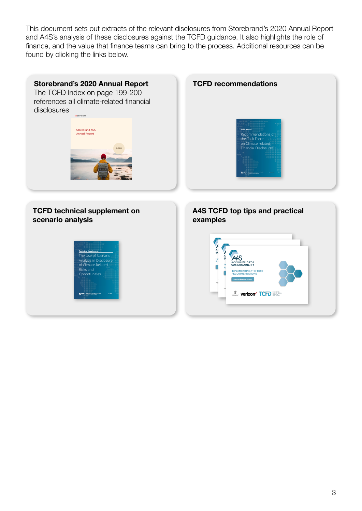This document sets out extracts of the relevant disclosures from Storebrand's 2020 Annual Report and A4S's analysis of these disclosures against the TCFD guidance. It also highlights the role of finance, and the value that finance teams can bring to the process. Additional resources can be found by clicking the links below.

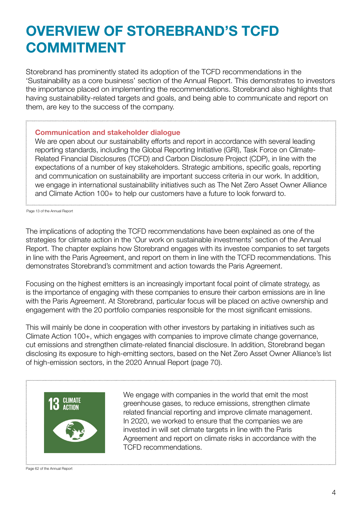## **OVERVIEW OF STOREBRAND'S TCFD COMMITMENT**

Storebrand has prominently stated its adoption of the TCFD recommendations in the 'Sustainability as a core business' section of the Annual Report. This demonstrates to investors the importance placed on implementing the recommendations. Storebrand also highlights that having sustainability-related targets and goals, and being able to communicate and report on them, are key to the success of the company.

#### **Communication and stakeholder dialogue**

We are open about our sustainability efforts and report in accordance with several leading reporting standards, including the Global Reporting Initiative (GRI), Task Force on Climate-Related Financial Disclosures (TCFD) and Carbon Disclosure Project (CDP), in line with the expectations of a number of key stakeholders. Strategic ambitions, specific goals, reporting and communication on sustainability are important success criteria in our work. In addition, we engage in international sustainability initiatives such as The Net Zero Asset Owner Alliance and Climate Action 100+ to help our customers have a future to look forward to.

Page 13 of the Annual Report

The implications of adopting the TCFD recommendations have been explained as one of the strategies for climate action in the 'Our work on sustainable investments' section of the Annual Report. The chapter explains how Storebrand engages with its investee companies to set targets in line with the Paris Agreement, and report on them in line with the TCFD recommendations. This demonstrates Storebrand's commitment and action towards the Paris Agreement.

Focusing on the highest emitters is an increasingly important focal point of climate strategy, as is the importance of engaging with these companies to ensure their carbon emissions are in line with the Paris Agreement. At Storebrand, particular focus will be placed on active ownership and engagement with the 20 portfolio companies responsible for the most significant emissions.

This will mainly be done in cooperation with other investors by partaking in initiatives such as Climate Action 100+, which engages with companies to improve climate change governance, cut emissions and strengthen climate-related financial disclosure. In addition, Storebrand began disclosing its exposure to high-emitting sectors, based on the Net Zero Asset Owner Alliance's list of high-emission sectors, in the 2020 Annual Report (page 70).



We engage with companies in the world that emit the most greenhouse gases, to reduce emissions, strengthen climate related financial reporting and improve climate management. In 2020, we worked to ensure that the companies we are invested in will set climate targets in line with the Paris Agreement and report on climate risks in accordance with the TCFD recommendations.

Page 62 of the Annual Report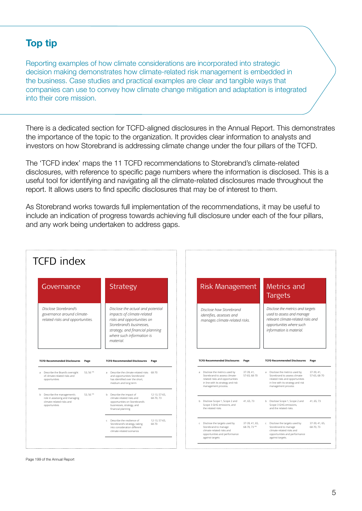### **Top tip**

Reporting examples of how climate considerations are incorporated into strategic decision making demonstrates how climate-related risk management is embedded in the business. Case studies and practical examples are clear and tangible ways that companies can use to convey how climate change mitigation and adaptation is integrated into their core mission.

There is a dedicated section for TCFD-aligned disclosures in the Annual Report. This demonstrates the importance of the topic to the organization. It provides clear information to analysts and investors on how Storebrand is addressing climate change under the four pillars of the TCFD.

The 'TCFD index' maps the 11 TCFD recommendations to Storebrand's climate-related disclosures, with reference to specific page numbers where the information is disclosed. This is a useful tool for identifying and navigating all the climate-related disclosures made throughout the report. It allows users to find specific disclosures that may be of interest to them.

As Storebrand works towards full implementation of the recommendations, it may be useful to include an indication of progress towards achieving full disclosure under each of the four pillars, and any work being undertaken to address gaps.

| <b>TCFD</b> index                                                                                       |                                                                                                                                                                                                         |                                                                                                                                                                                               |                                                                                                                                                                                              |
|---------------------------------------------------------------------------------------------------------|---------------------------------------------------------------------------------------------------------------------------------------------------------------------------------------------------------|-----------------------------------------------------------------------------------------------------------------------------------------------------------------------------------------------|----------------------------------------------------------------------------------------------------------------------------------------------------------------------------------------------|
| Governance                                                                                              | Strategy                                                                                                                                                                                                | Risk Management                                                                                                                                                                               | Metrics and<br><b>Targets</b>                                                                                                                                                                |
| Disclose Storebrand's<br>governance around climate-<br>related risks and opportunities.                 | Disclose the actual and potential<br>impacts of climate-related<br>risks and opportunities on<br>Storebrand's businesses,<br>strategy, and financial planning<br>where such information is<br>material. | Disclose how Storebrand<br>identifies, assesses and<br>manages climate-related risks.                                                                                                         | Disclose the metrics and targets<br>used to assess and manage<br>relevant climate-related risks and<br>opportunities where such<br>information is material.                                  |
| <b>TCFD Recommended Disclosures</b><br>Page                                                             | <b>TCFD Recommended Disclosures</b><br>Page                                                                                                                                                             | <b>TCFD Recommended Disclosures</b><br>Page                                                                                                                                                   | <b>TCFD Recommended Disclosures Page</b>                                                                                                                                                     |
| 53, 56 59<br>a Describe the Board's oversight<br>of climate-related risks and<br>opportunities          | a Describe the climate-related risks 68-70<br>and opportunities Storebrand<br>has identified over the short,<br>medium and long term                                                                    | a Disclose the metrics used by<br>37-39, 41,<br>Storebrand to assess climate-<br>57-65, 68-70<br>related risks and opportunities<br>in line with its strategy and risk<br>management process. | a Disclose the metrics used by<br>37-39, 41,<br>57-65, 68-70<br>Storebrand to assess climate-<br>related risks and opportunities<br>in line with its strategy and risk<br>management process |
| b Describe the management's<br>53.56 59)<br>role in assessing and managing<br>climate-related risks and | b Describe the impact of<br>12-13, 57-65.<br>climate-related risks and<br>68-70.73<br>opportunities on Storebrand's<br>businesses, strategy, and                                                        | b Disclose Scope 1, Scope 2 and<br>41, 65, 73<br>Scope 3 GHG emissions, and                                                                                                                   | b Disclose Scope 1, Scope 2 and<br>41, 65, 73<br>Scope 3 GHG emissions,                                                                                                                      |
| opportunities                                                                                           | financial planning                                                                                                                                                                                      | the related risks                                                                                                                                                                             | and the related risks.                                                                                                                                                                       |

Page 199 of the Annual Report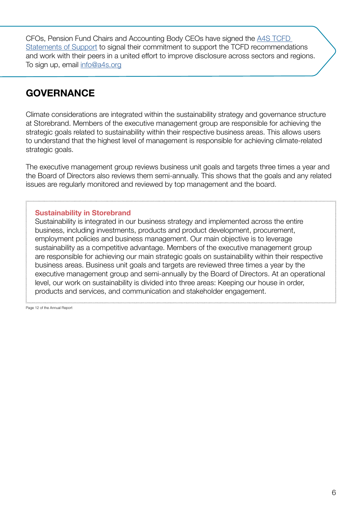` CFOs, Pension Fund Chairs and Accounting Body CEOs have signed the [A4S TCFD](https://www.accountingforsustainability.org/en/activities/tcfd/statement-of-support.html)  [Statements of Support](https://www.accountingforsustainability.org/en/activities/tcfd/statement-of-support.html) to signal their commitment to support the TCFD recommendations and work with their peers in a united effort to improve disclosure across sectors and regions. To sign up, email [info@a4s.org](mailto:info%40a4s.org?subject=TCFD%20Statement%20of%20Support)

### **GOVERNANCE**

Climate considerations are integrated within the sustainability strategy and governance structure at Storebrand. Members of the executive management group are responsible for achieving the strategic goals related to sustainability within their respective business areas. This allows users to understand that the highest level of management is responsible for achieving climate-related strategic goals.

The executive management group reviews business unit goals and targets three times a year and the Board of Directors also reviews them semi-annually. This shows that the goals and any related issues are regularly monitored and reviewed by top management and the board.

#### **Sustainability in Storebrand**

Sustainability is integrated in our business strategy and implemented across the entire business, including investments, products and product development, procurement, employment policies and business management. Our main objective is to leverage sustainability as a competitive advantage. Members of the executive management group are responsible for achieving our main strategic goals on sustainability within their respective business areas. Business unit goals and targets are reviewed three times a year by the executive management group and semi-annually by the Board of Directors. At an operational level, our work on sustainability is divided into three areas: Keeping our house in order, products and services, and communication and stakeholder engagement.

Page 12 of the Annual Report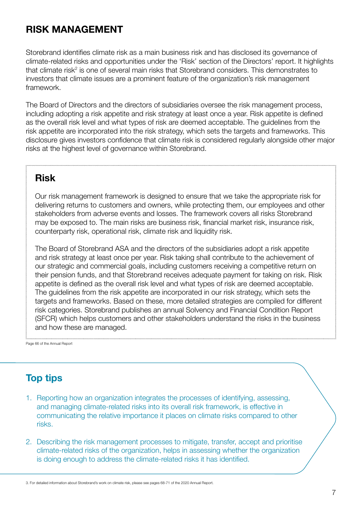### **RISK MANAGEMENT**

Storebrand identifies climate risk as a main business risk and has disclosed its governance of climate-related risks and opportunities under the 'Risk' section of the Directors' report. It highlights that climate risk<sup>2</sup> is one of several main risks that Storebrand considers. This demonstrates to investors that climate issues are a prominent feature of the organization's risk management framework.

The Board of Directors and the directors of subsidiaries oversee the risk management process, including adopting a risk appetite and risk strategy at least once a year. Risk appetite is defined as the overall risk level and what types of risk are deemed acceptable. The guidelines from the risk appetite are incorporated into the risk strategy, which sets the targets and frameworks. This disclosure gives investors confidence that climate risk is considered regularly alongside other major risks at the highest level of governance within Storebrand.

### **Risk**

Our risk management framework is designed to ensure that we take the appropriate risk for delivering returns to customers and owners, while protecting them, our employees and other stakeholders from adverse events and losses. The framework covers all risks Storebrand may be exposed to. The main risks are business risk, financial market risk, insurance risk, counterparty risk, operational risk, climate risk and liquidity risk.

The Board of Storebrand ASA and the directors of the subsidiaries adopt a risk appetite and risk strategy at least once per year. Risk taking shall contribute to the achievement of our strategic and commercial goals, including customers receiving a competitive return on their pension funds, and that Storebrand receives adequate payment for taking on risk. Risk appetite is defined as the overall risk level and what types of risk are deemed acceptable. The guidelines from the risk appetite are incorporated in our risk strategy, which sets the targets and frameworks. Based on these, more detailed strategies are compiled for different risk categories. Storebrand publishes an annual Solvency and Financial Condition Report (SFCR) which helps customers and other stakeholders understand the risks in the business and how these are managed.

Page 66 of the Annual Report

### **Top tips**

- 1. Reporting how an organization integrates the processes of identifying, assessing, and managing climate-related risks into its overall risk framework, is effective in communicating the relative importance it places on climate risks compared to other risks.
- 2. Describing the risk management processes to mitigate, transfer, accept and prioritise climate-related risks of the organization, helps in assessing whether the organization is doing enough to address the climate-related risks it has identified.

3. For detailed information about Storebrand's work on climate risk, please see pages 68-71 of the 2020 Annual Report.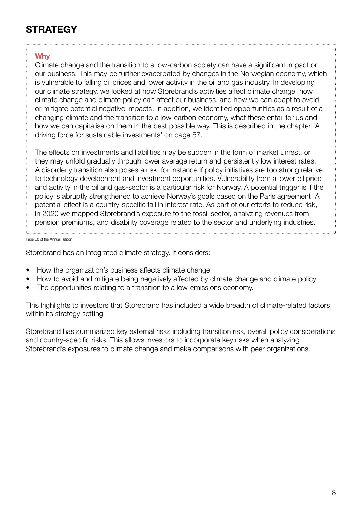## **STRATEGY**

#### **Why**

Climate change and the transition to a low-carbon society can have a significant impact on our business. This may be further exacerbated by changes in the Norwegian economy, which is vulnerable to falling oil prices and lower activity in the oil and gas industry. In developing our climate strategy, we looked at how Storebrand's activities affect climate change, how climate change and climate policy can affect our business, and how we can adapt to avoid or mitigate potential negative impacts. In addition, we identified opportunities as a result of a changing climate and the transition to a low-carbon economy, what these entail for us and how we can capitalise on them in the best possible way. This is described in the chapter 'A driving force for sustainable investments' on page 57.

The effects on investments and liabilities may be sudden in the form of market unrest, or they may unfold gradually through lower average return and persistently low interest rates. A disorderly transition also poses a risk, for instance if policy initiatives are too strong relative to technology development and investment opportunities. Vulnerability from a lower oil price and activity in the oil and gas-sector is a particular risk for Norway. A potential trigger is if the policy is abruptly strengthened to achieve Norway's goals based on the Paris agreement. A potential effect is a country-specific fall in interest rate. As part of our efforts to reduce risk, in 2020 we mapped Storebrand's exposure to the fossil sector, analyzing revenues from pension premiums, and disability coverage related to the sector and underlying industries.

Page 68 of the Annual Report

Storebrand has an integrated climate strategy. It considers:

- How the organization's business affects climate change
- How to avoid and mitigate being negatively affected by climate change and climate policy
- The opportunities relating to a transition to a low-emissions economy.

This highlights to investors that Storebrand has included a wide breadth of climate-related factors within its strategy setting.

Storebrand has summarized key external risks including transition risk, overall policy considerations and country-specific risks. This allows investors to incorporate key risks when analyzing Storebrand's exposures to climate change and make comparisons with peer organizations.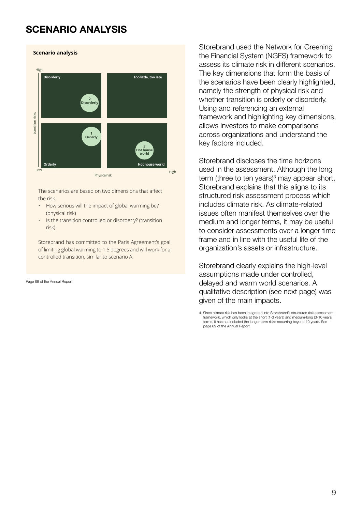### **SCENARIO ANALYSIS**

#### **Scenario analysis** High **Disorderly Too little, too late 2 Disorderly** transition risks transition risks **1 Orderly 3 Hot house world Orderly Hot house world**  $\overline{\phantom{a}}$ High

Physicalrisk

The scenarios are based on two dimensions that affect the risk.

- How serious will the impact of global warming be? (physical risk)
- Is the transition controlled or disorderly? (transition risk)

Storebrand has committed to the Paris Agreement's goal of limiting global warming to 1.5 degrees and will work for a controlled transition, similar to scenario A.

Page 68 of the Annual Report

Storebrand used the Network for Greening the Financial System (NGFS) framework to assess its climate risk in different scenarios. The key dimensions that form the basis of the scenarios have been clearly highlighted, namely the strength of physical risk and whether transition is orderly or disorderly. Using and referencing an external framework and highlighting key dimensions, allows investors to make comparisons across organizations and understand the key factors included.

Storebrand discloses the time horizons used in the assessment. Although the long term (three to ten years)<sup>3</sup> may appear short, Storebrand explains that this aligns to its structured risk assessment process which includes climate risk. As climate-related issues often manifest themselves over the medium and longer terms, it may be useful to consider assessments over a longer time frame and in line with the useful life of the organization's assets or infrastructure.

Storebrand clearly explains the high-level assumptions made under controlled, delayed and warm world scenarios. A qualitative description (see next page) was given of the main impacts.

<sup>4.</sup> Since climate risk has been integrated into Storebrand's structured risk assessment framework, which only looks at the short (1-3 years) and medium-long (3-10 years) terms, it has not included the longer-term risks occurring beyond 10 years. See page 69 of the Annual Report.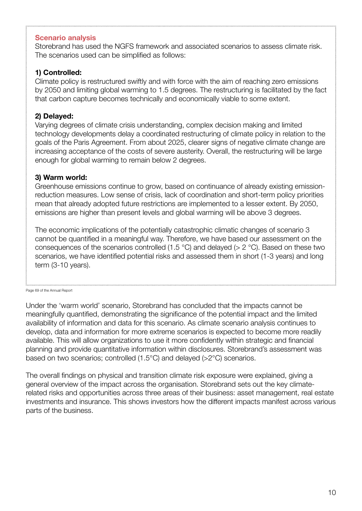#### **Scenario analysis**

Storebrand has used the NGFS framework and associated scenarios to assess climate risk. The scenarios used can be simplified as follows:

#### **1) Controlled:**

Climate policy is restructured swiftly and with force with the aim of reaching zero emissions by 2050 and limiting global warming to 1.5 degrees. The restructuring is facilitated by the fact that carbon capture becomes technically and economically viable to some extent.

### **2) Delayed:**

Varying degrees of climate crisis understanding, complex decision making and limited technology developments delay a coordinated restructuring of climate policy in relation to the goals of the Paris Agreement. From about 2025, clearer signs of negative climate change are increasing acceptance of the costs of severe austerity. Overall, the restructuring will be large enough for global warming to remain below 2 degrees.

#### **3) Warm world:**

Greenhouse emissions continue to grow, based on continuance of already existing emissionreduction measures. Low sense of crisis, lack of coordination and short-term policy priorities mean that already adopted future restrictions are implemented to a lesser extent. By 2050, emissions are higher than present levels and global warming will be above 3 degrees.

The economic implications of the potentially catastrophic climatic changes of scenario 3 cannot be quantified in a meaningful way. Therefore, we have based our assessment on the consequences of the scenarios controlled (1.5  $^{\circ}$ C) and delayed ( $>$  2  $^{\circ}$ C). Based on these two scenarios, we have identified potential risks and assessed them in short (1-3 years) and long term (3-10 years).

Page 69 of the Annual Report

Under the 'warm world' scenario, Storebrand has concluded that the impacts cannot be meaningfully quantified, demonstrating the significance of the potential impact and the limited availability of information and data for this scenario. As climate scenario analysis continues to develop, data and information for more extreme scenarios is expected to become more readily available. This will allow organizations to use it more confidently within strategic and financial planning and provide quantitative information within disclosures. Storebrand's assessment was based on two scenarios; controlled (1.5°C) and delayed (>2°C) scenarios.

The overall findings on physical and transition climate risk exposure were explained, giving a general overview of the impact across the organisation. Storebrand sets out the key climaterelated risks and opportunities across three areas of their business: asset management, real estate investments and insurance. This shows investors how the different impacts manifest across various parts of the business.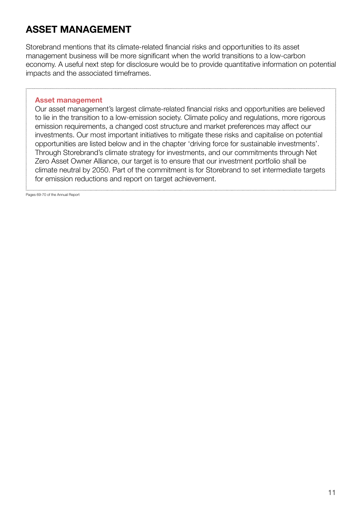### **ASSET MANAGEMENT**

Storebrand mentions that its climate-related financial risks and opportunities to its asset management business will be more significant when the world transitions to a low-carbon economy. A useful next step for disclosure would be to provide quantitative information on potential impacts and the associated timeframes.

#### **Asset management**

Our asset management's largest climate-related financial risks and opportunities are believed to lie in the transition to a low-emission society. Climate policy and regulations, more rigorous emission requirements, a changed cost structure and market preferences may affect our investments. Our most important initiatives to mitigate these risks and capitalise on potential opportunities are listed below and in the chapter 'driving force for sustainable investments'. Through Storebrand's climate strategy for investments, and our commitments through Net Zero Asset Owner Alliance, our target is to ensure that our investment portfolio shall be climate neutral by 2050. Part of the commitment is for Storebrand to set intermediate targets for emission reductions and report on target achievement.

Pages 69-70 of the Annual Report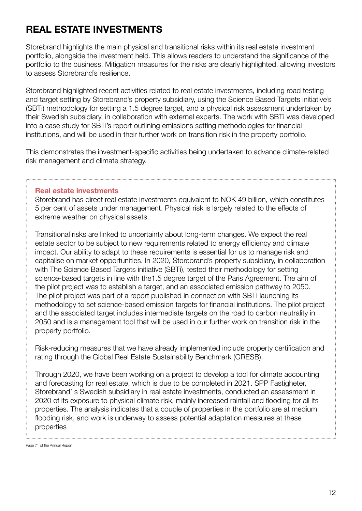### **REAL ESTATE INVESTMENTS**

Storebrand highlights the main physical and transitional risks within its real estate investment portfolio, alongside the investment held. This allows readers to understand the significance of the portfolio to the business. Mitigation measures for the risks are clearly highlighted, allowing investors to assess Storebrand's resilience.

Storebrand highlighted recent activities related to real estate investments, including road testing and target setting by Storebrand's property subsidiary, using the Science Based Targets initiative's (SBTi) methodology for setting a 1.5 degree target, and a physical risk assessment undertaken by their Swedish subsidiary, in collaboration with external experts. The work with SBTi was developed into a case study for SBTi's report outlining emissions setting methodologies for financial institutions, and will be used in their further work on transition risk in the property portfolio.

This demonstrates the investment-specific activities being undertaken to advance climate-related risk management and climate strategy.

#### **Real estate investments**

Storebrand has direct real estate investments equivalent to NOK 49 billion, which constitutes 5 per cent of assets under management. Physical risk is largely related to the effects of extreme weather on physical assets.

Transitional risks are linked to uncertainty about long-term changes. We expect the real estate sector to be subject to new requirements related to energy efficiency and climate impact. Our ability to adapt to these requirements is essential for us to manage risk and capitalise on market opportunities. In 2020, Storebrand's property subsidiary, in collaboration with The Science Based Targets initiative (SBTi), tested their methodology for setting science-based targets in line with the1.5 degree target of the Paris Agreement. The aim of the pilot project was to establish a target, and an associated emission pathway to 2050. The pilot project was part of a report published in connection with SBTi launching its methodology to set science-based emission targets for financial institutions. The pilot project and the associated target includes intermediate targets on the road to carbon neutrality in 2050 and is a management tool that will be used in our further work on transition risk in the property portfolio.

Risk-reducing measures that we have already implemented include property certification and rating through the Global Real Estate Sustainability Benchmark (GRESB).

Through 2020, we have been working on a project to develop a tool for climate accounting and forecasting for real estate, which is due to be completed in 2021. SPP Fastigheter, Storebrand' s Swedish subsidiary in real estate investments, conducted an assessment in 2020 of its exposure to physical climate risk, mainly increased rainfall and flooding for all its properties. The analysis indicates that a couple of properties in the portfolio are at medium flooding risk, and work is underway to assess potential adaptation measures at these properties

Page 71 of the Annual Report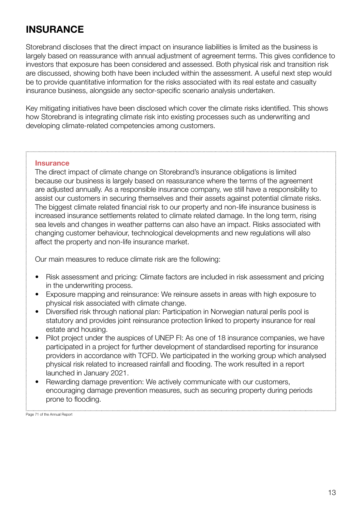### **INSURANCE**

Storebrand discloses that the direct impact on insurance liabilities is limited as the business is largely based on reassurance with annual adjustment of agreement terms. This gives confidence to investors that exposure has been considered and assessed. Both physical risk and transition risk are discussed, showing both have been included within the assessment. A useful next step would be to provide quantitative information for the risks associated with its real estate and casualty insurance business, alongside any sector-specific scenario analysis undertaken.

Key mitigating initiatives have been disclosed which cover the climate risks identified. This shows how Storebrand is integrating climate risk into existing processes such as underwriting and developing climate-related competencies among customers.

#### **Insurance**

The direct impact of climate change on Storebrand's insurance obligations is limited because our business is largely based on reassurance where the terms of the agreement are adjusted annually. As a responsible insurance company, we still have a responsibility to assist our customers in securing themselves and their assets against potential climate risks. The biggest climate related financial risk to our property and non-life insurance business is increased insurance settlements related to climate related damage. In the long term, rising sea levels and changes in weather patterns can also have an impact. Risks associated with changing customer behaviour, technological developments and new regulations will also affect the property and non-life insurance market.

Our main measures to reduce climate risk are the following:

- Risk assessment and pricing: Climate factors are included in risk assessment and pricing in the underwriting process.
- Exposure mapping and reinsurance: We reinsure assets in areas with high exposure to physical risk associated with climate change.
- Diversified risk through national plan: Participation in Norwegian natural perils pool is statutory and provides joint reinsurance protection linked to property insurance for real estate and housing.
- Pilot project under the auspices of UNEP FI: As one of 18 insurance companies, we have participated in a project for further development of standardised reporting for insurance providers in accordance with TCFD. We participated in the working group which analysed physical risk related to increased rainfall and flooding. The work resulted in a report launched in January 2021.
- Rewarding damage prevention: We actively communicate with our customers, encouraging damage prevention measures, such as securing property during periods prone to flooding.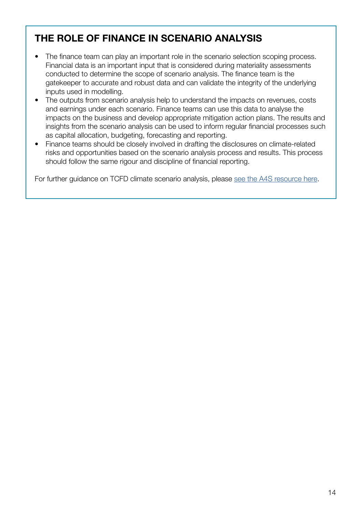### **THE ROLE OF FINANCE IN SCENARIO ANALYSIS**

- The finance team can play an important role in the scenario selection scoping process. Financial data is an important input that is considered during materiality assessments conducted to determine the scope of scenario analysis. The finance team is the gatekeeper to accurate and robust data and can validate the integrity of the underlying inputs used in modelling.
- The outputs from scenario analysis help to understand the impacts on revenues, costs and earnings under each scenario. Finance teams can use this data to analyse the impacts on the business and develop appropriate mitigation action plans. The results and insights from the scenario analysis can be used to inform regular financial processes such as capital allocation, budgeting, forecasting and reporting.
- Finance teams should be closely involved in drafting the disclosures on climate-related risks and opportunities based on the scenario analysis process and results. This process should follow the same rigour and discipline of financial reporting.

For further guidance on TCFD climate scenario analysis, please [see the A4S resource here](https://www.accountingforsustainability.org/en/knowledge-hub/guides/tcfd-climate-scenario-analysis.html).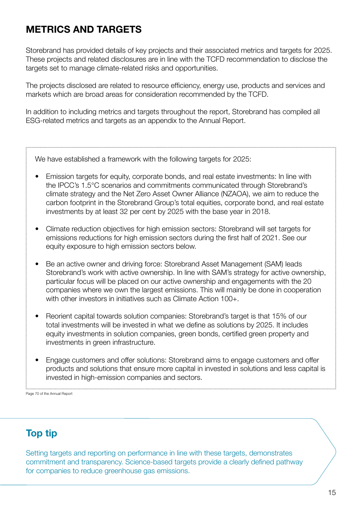### **METRICS AND TARGETS**

Storebrand has provided details of key projects and their associated metrics and targets for 2025. These projects and related disclosures are in line with the TCFD recommendation to disclose the targets set to manage climate-related risks and opportunities.

The projects disclosed are related to resource efficiency, energy use, products and services and markets which are broad areas for consideration recommended by the TCFD.

In addition to including metrics and targets throughout the report, Storebrand has compiled all ESG-related metrics and targets as an appendix to the Annual Report.

We have established a framework with the following targets for 2025:

- Emission targets for equity, corporate bonds, and real estate investments: In line with the IPCC's 1.5°C scenarios and commitments communicated through Storebrand's climate strategy and the Net Zero Asset Owner Alliance (NZAOA), we aim to reduce the carbon footprint in the Storebrand Group's total equities, corporate bond, and real estate investments by at least 32 per cent by 2025 with the base year in 2018.
- Climate reduction objectives for high emission sectors: Storebrand will set targets for emissions reductions for high emission sectors during the first half of 2021. See our equity exposure to high emission sectors below.
- Be an active owner and driving force: Storebrand Asset Management (SAM) leads Storebrand's work with active ownership. In line with SAM's strategy for active ownership, particular focus will be placed on our active ownership and engagements with the 20 companies where we own the largest emissions. This will mainly be done in cooperation with other investors in initiatives such as Climate Action 100+
- Reorient capital towards solution companies: Storebrand's target is that 15% of our total investments will be invested in what we define as solutions by 2025. It includes equity investments in solution companies, green bonds, certified green property and investments in green infrastructure.
- Engage customers and offer solutions: Storebrand aims to engage customers and offer products and solutions that ensure more capital in invested in solutions and less capital is invested in high-emission companies and sectors.

Page 70 of the Annual Report

### **Top tip**

Setting targets and reporting on performance in line with these targets, demonstrates commitment and transparency. Science-based targets provide a clearly defined pathway for companies to reduce greenhouse gas emissions.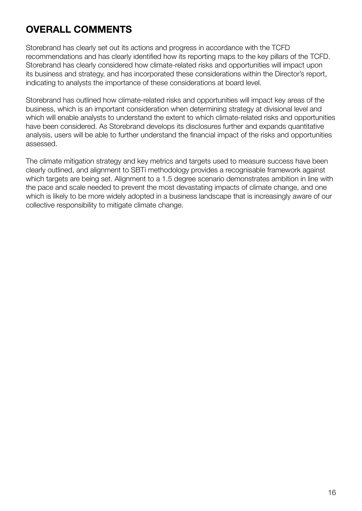## **OVERALL COMMENTS**

Storebrand has clearly set out its actions and progress in accordance with the TCFD recommendations and has clearly identified how its reporting maps to the key pillars of the TCFD. Storebrand has clearly considered how climate-related risks and opportunities will impact upon its business and strategy, and has incorporated these considerations within the Director's report, indicating to analysts the importance of these considerations at board level.

Storebrand has outlined how climate-related risks and opportunities will impact key areas of the business, which is an important consideration when determining strategy at divisional level and which will enable analysts to understand the extent to which climate-related risks and opportunities have been considered. As Storebrand develops its disclosures further and expands quantitative analysis, users will be able to further understand the financial impact of the risks and opportunities assessed.

The climate mitigation strategy and key metrics and targets used to measure success have been clearly outlined, and alignment to SBTi methodology provides a recognisable framework against which targets are being set. Alignment to a 1.5 degree scenario demonstrates ambition in line with the pace and scale needed to prevent the most devastating impacts of climate change, and one which is likely to be more widely adopted in a business landscape that is increasingly aware of our collective responsibility to mitigate climate change.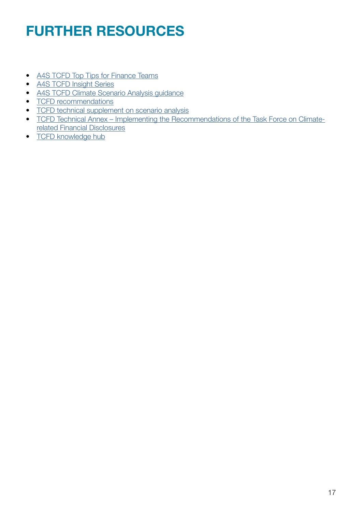## **FURTHER RESOURCES**

- [A4S TCFD Top Tips for Finance Teams](https://www.accountingforsustainability.org/en/activities/tcfd/tcfd-guidance.html)
- [A4S TCFD Insight Series](https://www.accountingforsustainability.org/en/activities/tcfd/tcfd-insights.html)
- [A4S TCFD Climate Scenario Analysis guidance](https://www.accountingforsustainability.org/en/activities/tcfd/tcfd-guidance.html)
- [TCFD recommendations](https://assets.bbhub.io/company/sites/60/2021/10/FINAL-2017-TCFD-Report.pdf)
- [TCFD technical supplement on scenario analysis](https://assets.bbhub.io/company/sites/60/2020/10/FINAL-TCFD-Technical-Supplement-062917.pdf)
- [TCFD Technical Annex Implementing the Recommendations of the Task Force on Climate](https://assets.bbhub.io/company/sites/60/2021/07/2021-TCFD-Implementing_Guidance.pdf)[related Financial Disclosures](https://assets.bbhub.io/company/sites/60/2021/07/2021-TCFD-Implementing_Guidance.pdf)
- [TCFD knowledge hub](https://www.tcfdhub.org/)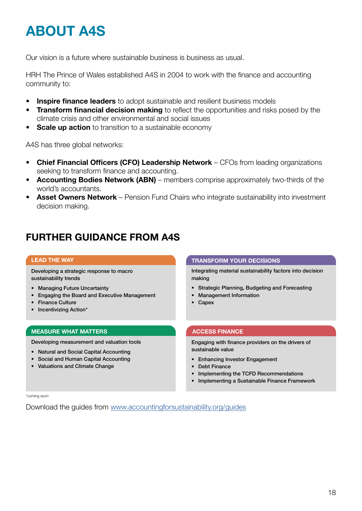## **ABOUT A4S**

Our vision is a future where sustainable business is business as usual.

HRH The Prince of Wales established A4S in 2004 to work with the finance and accounting community to:

- **Inspire finance leaders** to adopt sustainable and resilient business models
- **Transform financial decision making** to reflect the opportunities and risks posed by the climate crisis and other environmental and social issues
- **Scale up action** to transition to a sustainable economy

A4S has three global networks:

- **Chief Financial Officers (CFO) Leadership Network** CFOs from leading organizations seeking to transform finance and accounting.
- **Accounting Bodies Network (ABN)** members comprise approximately two-thirds of the world's accountants.
- **Asset Owners Network** Pension Fund Chairs who integrate sustainability into investment decision making.

### **FURTHER GUIDANCE FROM A4S**

Developing a strategic response to macro sustainability trends

- Managing Future Uncertainty
- Engaging the Board and Executive Management
- Finance Culture
- Incentivizing Action\*

#### **MEASURE WHAT MATTERS**

Developing measurement and valuation tools

- Natural and Social Capital Accounting
- Social and Human Capital Accounting
- Valuations and Climate Change

#### **LEAD THE WAY TRANSFORM YOUR DECISIONS**

Integrating material sustainability factors into decision making

- Strategic Planning, Budgeting and Forecasting
- Management Information
- **Capex**

#### **ACCESS FINANCE**

Engaging with finance providers on the drivers of sustainable value

- Enhancing Investor Engagement
- Debt Finance
- Implementing the TCFD Recommendations
- Implementing a Sustainable Finance Framework

\*coming soon

Download the guides from [www.accountingforsustainability.org/guides](http://www.accountingforsustainability.org/guides)